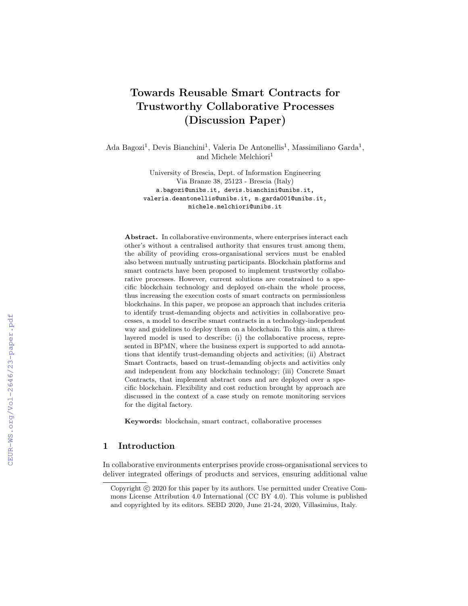# Towards Reusable Smart Contracts for Trustworthy Collaborative Processes (Discussion Paper)

Ada Bagozi<sup>1</sup>, Devis Bianchini<sup>1</sup>, Valeria De Antonellis<sup>1</sup>, Massimiliano Garda<sup>1</sup>, and Michele Melchiori<sup>1</sup>

> University of Brescia, Dept. of Information Engineering Via Branze 38, 25123 - Brescia (Italy) a.bagozi@unibs.it, devis.bianchini@unibs.it, valeria.deantonellis@unibs.it, m.garda001@unibs.it, michele.melchiori@unibs.it

Abstract. In collaborative environments, where enterprises interact each other's without a centralised authority that ensures trust among them, the ability of providing cross-organisational services must be enabled also between mutually untrusting participants. Blockchain platforms and smart contracts have been proposed to implement trustworthy collaborative processes. However, current solutions are constrained to a specific blockchain technology and deployed on-chain the whole process, thus increasing the execution costs of smart contracts on permissionless blockchains. In this paper, we propose an approach that includes criteria to identify trust-demanding objects and activities in collaborative processes, a model to describe smart contracts in a technology-independent way and guidelines to deploy them on a blockchain. To this aim, a threelayered model is used to describe: (i) the collaborative process, represented in BPMN, where the business expert is supported to add annotations that identify trust-demanding objects and activities; (ii) Abstract Smart Contracts, based on trust-demanding objects and activities only and independent from any blockchain technology; (iii) Concrete Smart Contracts, that implement abstract ones and are deployed over a specific blockchain. Flexibility and cost reduction brought by approach are discussed in the context of a case study on remote monitoring services for the digital factory.

Keywords: blockchain, smart contract, collaborative processes

## 1 Introduction

In collaborative environments enterprises provide cross-organisational services to deliver integrated offerings of products and services, ensuring additional value

Copyright  $\odot$  2020 for this paper by its authors. Use permitted under Creative Commons License Attribution 4.0 International (CC BY 4.0). This volume is published and copyrighted by its editors. SEBD 2020, June 21-24, 2020, Villasimius, Italy.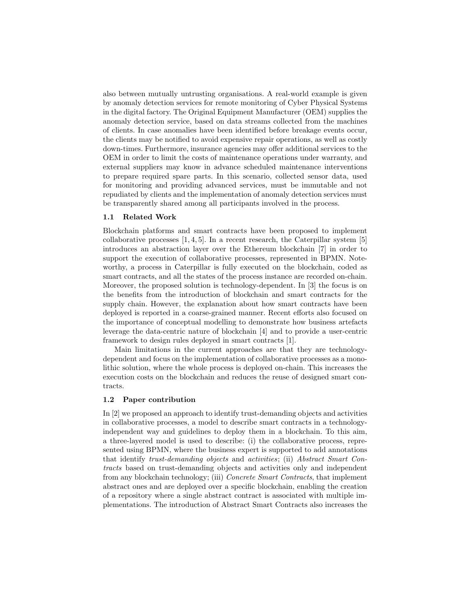also between mutually untrusting organisations. A real-world example is given by anomaly detection services for remote monitoring of Cyber Physical Systems in the digital factory. The Original Equipment Manufacturer (OEM) supplies the anomaly detection service, based on data streams collected from the machines of clients. In case anomalies have been identified before breakage events occur, the clients may be notified to avoid expensive repair operations, as well as costly down-times. Furthermore, insurance agencies may offer additional services to the OEM in order to limit the costs of maintenance operations under warranty, and external suppliers may know in advance scheduled maintenance interventions to prepare required spare parts. In this scenario, collected sensor data, used for monitoring and providing advanced services, must be immutable and not repudiated by clients and the implementation of anomaly detection services must be transparently shared among all participants involved in the process.

#### 1.1 Related Work

Blockchain platforms and smart contracts have been proposed to implement collaborative processes  $[1, 4, 5]$ . In a recent research, the Caterpillar system  $[5]$ introduces an abstraction layer over the Ethereum blockchain [7] in order to support the execution of collaborative processes, represented in BPMN. Noteworthy, a process in Caterpillar is fully executed on the blockchain, coded as smart contracts, and all the states of the process instance are recorded on-chain. Moreover, the proposed solution is technology-dependent. In [3] the focus is on the benefits from the introduction of blockchain and smart contracts for the supply chain. However, the explanation about how smart contracts have been deployed is reported in a coarse-grained manner. Recent efforts also focused on the importance of conceptual modelling to demonstrate how business artefacts leverage the data-centric nature of blockchain [4] and to provide a user-centric framework to design rules deployed in smart contracts [1].

Main limitations in the current approaches are that they are technologydependent and focus on the implementation of collaborative processes as a monolithic solution, where the whole process is deployed on-chain. This increases the execution costs on the blockchain and reduces the reuse of designed smart contracts.

#### 1.2 Paper contribution

In [2] we proposed an approach to identify trust-demanding objects and activities in collaborative processes, a model to describe smart contracts in a technologyindependent way and guidelines to deploy them in a blockchain. To this aim, a three-layered model is used to describe: (i) the collaborative process, represented using BPMN, where the business expert is supported to add annotations that identify trust-demanding objects and activities; (ii) Abstract Smart Contracts based on trust-demanding objects and activities only and independent from any blockchain technology; (iii) Concrete Smart Contracts, that implement abstract ones and are deployed over a specific blockchain, enabling the creation of a repository where a single abstract contract is associated with multiple implementations. The introduction of Abstract Smart Contracts also increases the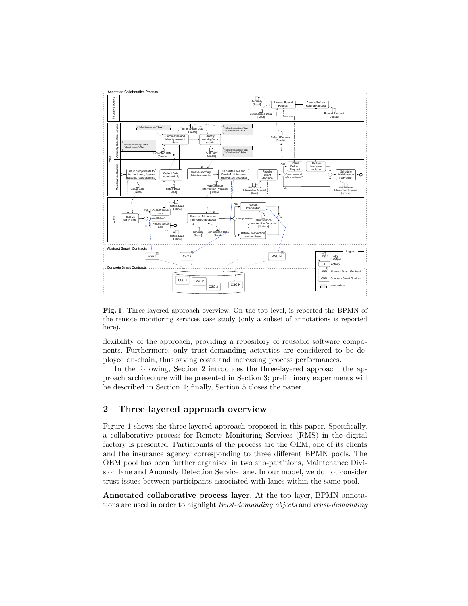

Fig. 1. Three-layered approach overview. On the top level, is reported the BPMN of the remote monitoring services case study (only a subset of annotations is reported here).

flexibility of the approach, providing a repository of reusable software components. Furthermore, only trust-demanding activities are considered to be deployed on-chain, thus saving costs and increasing process performances.

In the following, Section 2 introduces the three-layered approach; the approach architecture will be presented in Section 3; preliminary experiments will be described in Section 4; finally, Section 5 closes the paper.

## 2 Three-layered approach overview

Figure 1 shows the three-layered approach proposed in this paper. Specifically, a collaborative process for Remote Monitoring Services (RMS) in the digital factory is presented. Participants of the process are the OEM, one of its clients and the insurance agency, corresponding to three different BPMN pools. The OEM pool has been further organised in two sub-partitions, Maintenance Division lane and Anomaly Detection Service lane. In our model, we do not consider trust issues between participants associated with lanes within the same pool.

Annotated collaborative process layer. At the top layer, BPMN annotations are used in order to highlight trust-demanding objects and trust-demanding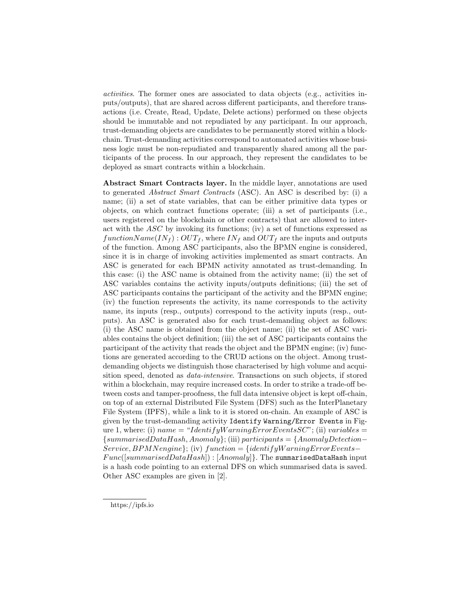activities. The former ones are associated to data objects (e.g., activities inputs/outputs), that are shared across different participants, and therefore transactions (i.e. Create, Read, Update, Delete actions) performed on these objects should be immutable and not repudiated by any participant. In our approach, trust-demanding objects are candidates to be permanently stored within a blockchain. Trust-demanding activities correspond to automated activities whose business logic must be non-repudiated and transparently shared among all the participants of the process. In our approach, they represent the candidates to be deployed as smart contracts within a blockchain.

Abstract Smart Contracts layer. In the middle layer, annotations are used to generated Abstract Smart Contracts (ASC). An ASC is described by: (i) a name; (ii) a set of state variables, that can be either primitive data types or objects, on which contract functions operate; (iii) a set of participants (i.e., users registered on the blockchain or other contracts) that are allowed to interact with the ASC by invoking its functions; (iv) a set of functions expressed as  $functionName(IN_f) : OUT_f$ , where  $IN_f$  and  $OUT_f$  are the inputs and outputs of the function. Among ASC participants, also the BPMN engine is considered, since it is in charge of invoking activities implemented as smart contracts. An ASC is generated for each BPMN activity annotated as trust-demanding. In this case: (i) the ASC name is obtained from the activity name; (ii) the set of ASC variables contains the activity inputs/outputs definitions; (iii) the set of ASC participants contains the participant of the activity and the BPMN engine; (iv) the function represents the activity, its name corresponds to the activity name, its inputs (resp., outputs) correspond to the activity inputs (resp., outputs). An ASC is generated also for each trust-demanding object as follows: (i) the ASC name is obtained from the object name; (ii) the set of ASC variables contains the object definition; (iii) the set of ASC participants contains the participant of the activity that reads the object and the BPMN engine; (iv) functions are generated according to the CRUD actions on the object. Among trustdemanding objects we distinguish those characterised by high volume and acquisition speed, denoted as *data-intensive*. Transactions on such objects, if stored within a blockchain, may require increased costs. In order to strike a trade-off between costs and tamper-proofness, the full data intensive object is kept off-chain, on top of an external Distributed File System (DFS) such as the InterPlanetary File System (IPFS), while a link to it is stored on-chain. An example of ASC is given by the trust-demanding activity Identify Warning/Error Events in Figure 1, where: (i) name  $=$  "IdentifyW arningErrorEventsSC"; (ii) variables  $=$  ${summarisedDataHash, Anomaly}$ ; (iii) participants = {AnomalyDetection−  $Service, BPMNengine$ ; (iv)  $function = \{identityWarning ErrorEvents Func([summarisedDataHash]):[Anomaly]$ . The summarisedDataHash input is a hash code pointing to an external DFS on which summarised data is saved. Other ASC examples are given in [2].

https://ipfs.io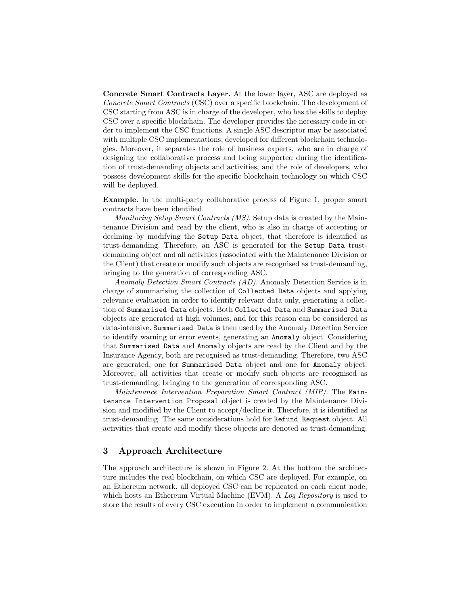Concrete Smart Contracts Layer. At the lower layer, ASC are deployed as Concrete Smart Contracts (CSC) over a specific blockchain. The development of CSC starting from ASC is in charge of the developer, who has the skills to deploy CSC over a specific blockchain. The developer provides the necessary code in order to implement the CSC functions. A single ASC descriptor may be associated with multiple CSC implementations, developed for different blockchain technologies. Moreover, it separates the role of business experts, who are in charge of designing the collaborative process and being supported during the identification of trust-demanding objects and activities, and the role of developers, who possess development skills for the specific blockchain technology on which CSC will be deployed.

Example. In the multi-party collaborative process of Figure 1, proper smart contracts have been identified.

Monitoring Setup Smart Contracts (MS). Setup data is created by the Maintenance Division and read by the client, who is also in charge of accepting or declining by modifying the Setup Data object, that therefore is identified as trust-demanding. Therefore, an ASC is generated for the Setup Data trustdemanding object and all activities (associated with the Maintenance Division or the Client) that create or modify such objects are recognised as trust-demanding, bringing to the generation of corresponding ASC.

Anomaly Detection Smart Contracts (AD). Anomaly Detection Service is in charge of summarising the collection of Collected Data objects and applying relevance evaluation in order to identify relevant data only, generating a collection of Summarised Data objects. Both Collected Data and Summarised Data objects are generated at high volumes, and for this reason can be considered as data-intensive. Summarised Data is then used by the Anomaly Detection Service to identify warning or error events, generating an Anomaly object. Considering that Summarised Data and Anomaly objects are read by the Client and by the Insurance Agency, both are recognised as trust-demanding. Therefore, two ASC are generated, one for Summarised Data object and one for Anomaly object. Moreover, all activities that create or modify such objects are recognised as trust-demanding, bringing to the generation of corresponding ASC.

Maintenance Intervention Preparation Smart Contract (MIP). The Maintenance Intervention Proposal object is created by the Maintenance Division and modified by the Client to accept/decline it. Therefore, it is identified as trust-demanding. The same considerations hold for Refund Request object. All activities that create and modify these objects are denoted as trust-demanding.

### 3 Approach Architecture

The approach architecture is shown in Figure 2. At the bottom the architecture includes the real blockchain, on which CSC are deployed. For example, on an Ethereum network, all deployed CSC can be replicated on each client node, which hosts an Ethereum Virtual Machine (EVM). A Log Repository is used to store the results of every CSC execution in order to implement a communication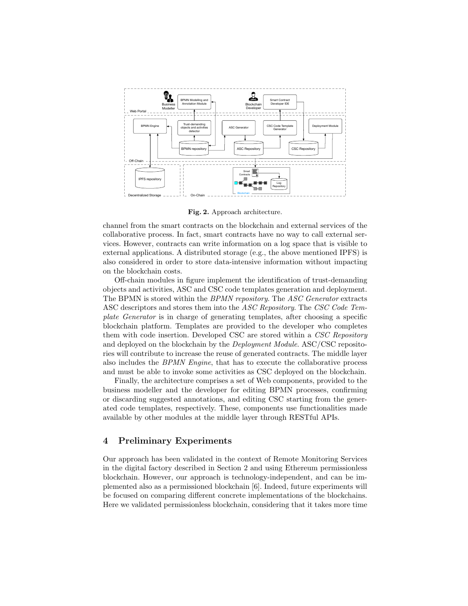

Fig. 2. Approach architecture.

channel from the smart contracts on the blockchain and external services of the collaborative process. In fact, smart contracts have no way to call external services. However, contracts can write information on a log space that is visible to external applications. A distributed storage (e.g., the above mentioned IPFS) is also considered in order to store data-intensive information without impacting on the blockchain costs.

Off-chain modules in figure implement the identification of trust-demanding objects and activities, ASC and CSC code templates generation and deployment. The BPMN is stored within the *BPMN repository*. The *ASC Generator* extracts ASC descriptors and stores them into the ASC Repository. The CSC Code Template Generator is in charge of generating templates, after choosing a specific blockchain platform. Templates are provided to the developer who completes them with code insertion. Developed CSC are stored within a CSC Repository and deployed on the blockchain by the Deployment Module. ASC/CSC repositories will contribute to increase the reuse of generated contracts. The middle layer also includes the BPMN Engine, that has to execute the collaborative process and must be able to invoke some activities as CSC deployed on the blockchain.

Finally, the architecture comprises a set of Web components, provided to the business modeller and the developer for editing BPMN processes, confirming or discarding suggested annotations, and editing CSC starting from the generated code templates, respectively. These, components use functionalities made available by other modules at the middle layer through RESTful APIs.

## 4 Preliminary Experiments

Our approach has been validated in the context of Remote Monitoring Services in the digital factory described in Section 2 and using Ethereum permissionless blockchain. However, our approach is technology-independent, and can be implemented also as a permissioned blockchain [6]. Indeed, future experiments will be focused on comparing different concrete implementations of the blockchains. Here we validated permissionless blockchain, considering that it takes more time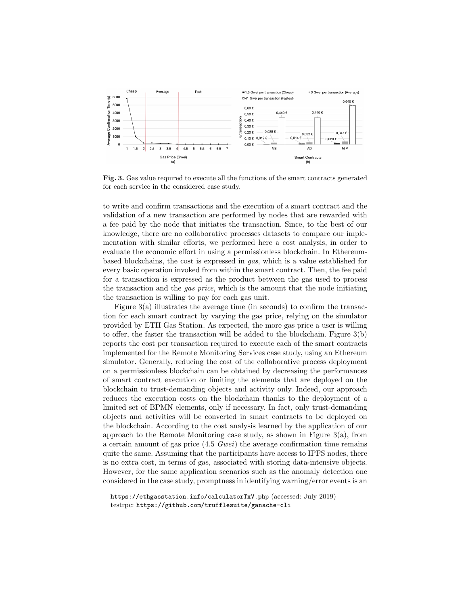

Fig. 3. Gas value required to execute all the functions of the smart contracts generated for each service in the considered case study.

to write and confirm transactions and the execution of a smart contract and the validation of a new transaction are performed by nodes that are rewarded with a fee paid by the node that initiates the transaction. Since, to the best of our knowledge, there are no collaborative processes datasets to compare our implementation with similar efforts, we performed here a cost analysis, in order to evaluate the economic effort in using a permissionless blockchain. In Ethereumbased blockchains, the cost is expressed in gas, which is a value established for every basic operation invoked from within the smart contract. Then, the fee paid for a transaction is expressed as the product between the gas used to process the transaction and the gas price, which is the amount that the node initiating the transaction is willing to pay for each gas unit.

Figure  $3(a)$  illustrates the average time (in seconds) to confirm the transaction for each smart contract by varying the gas price, relying on the simulator provided by ETH Gas Station. As expected, the more gas price a user is willing to offer, the faster the transaction will be added to the blockchain. Figure 3(b) reports the cost per transaction required to execute each of the smart contracts implemented for the Remote Monitoring Services case study, using an Ethereum simulator. Generally, reducing the cost of the collaborative process deployment on a permissionless blockchain can be obtained by decreasing the performances of smart contract execution or limiting the elements that are deployed on the blockchain to trust-demanding objects and activity only. Indeed, our approach reduces the execution costs on the blockchain thanks to the deployment of a limited set of BPMN elements, only if necessary. In fact, only trust-demanding objects and activities will be converted in smart contracts to be deployed on the blockchain. According to the cost analysis learned by the application of our approach to the Remote Monitoring case study, as shown in Figure 3(a), from a certain amount of gas price (4.5 Gwei) the average confirmation time remains quite the same. Assuming that the participants have access to IPFS nodes, there is no extra cost, in terms of gas, associated with storing data-intensive objects. However, for the same application scenarios such as the anomaly detection one considered in the case study, promptness in identifying warning/error events is an

https://ethgasstation.info/calculatorTxV.php (accessed: July 2019) testrpc: https://github.com/trufflesuite/ganache-cli